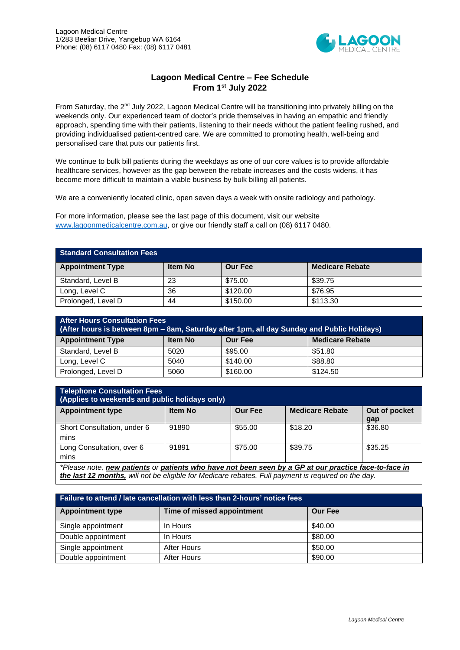

## **Lagoon Medical Centre – Fee Schedule From 1st July 2022**

From Saturday, the 2<sup>nd</sup> July 2022, Lagoon Medical Centre will be transitioning into privately billing on the weekends only. Our experienced team of doctor's pride themselves in having an empathic and friendly approach, spending time with their patients, listening to their needs without the patient feeling rushed, and providing individualised patient-centred care. We are committed to promoting health, well-being and personalised care that puts our patients first.

We continue to bulk bill patients during the weekdays as one of our core values is to provide affordable healthcare services, however as the gap between the rebate increases and the costs widens, it has become more difficult to maintain a viable business by bulk billing all patients.

We are a conveniently located clinic, open seven days a week with onsite radiology and pathology.

For more information, please see the last page of this document, visit our website [www.lagoonmedicalcentre.com.au,](http://www.lagoonmedicalcentre.com.au/) or give our friendly staff a call on (08) 6117 0480.

| <b>Standard Consultation Fees</b> |                |                |                        |  |  |  |
|-----------------------------------|----------------|----------------|------------------------|--|--|--|
| <b>Appointment Type</b>           | <b>Item No</b> | <b>Our Fee</b> | <b>Medicare Rebate</b> |  |  |  |
| Standard, Level B                 | 23             | \$75.00        | \$39.75                |  |  |  |
| Long, Level C                     | 36             | \$120.00       | \$76.95                |  |  |  |
| Prolonged, Level D                | 44             | \$150.00       | \$113.30               |  |  |  |

| <b>After Hours Consultation Fees</b><br>(After hours is between 8pm - 8am, Saturday after 1pm, all day Sunday and Public Holidays) |      |          |          |  |  |  |
|------------------------------------------------------------------------------------------------------------------------------------|------|----------|----------|--|--|--|
| <b>Appointment Type</b><br><b>Medicare Rebate</b><br><b>Our Fee</b><br><b>Item No</b>                                              |      |          |          |  |  |  |
| Standard, Level B                                                                                                                  | 5020 | \$95.00  | \$51.80  |  |  |  |
| Long, Level C                                                                                                                      | 5040 | \$140.00 | \$88.80  |  |  |  |
| Prolonged, Level D                                                                                                                 | 5060 | \$160.00 | \$124.50 |  |  |  |

| <b>Telephone Consultation Fees</b><br>(Applies to weekends and public holidays only)                  |                |                |                        |                      |  |  |
|-------------------------------------------------------------------------------------------------------|----------------|----------------|------------------------|----------------------|--|--|
| <b>Appointment type</b>                                                                               | <b>Item No</b> | <b>Our Fee</b> | <b>Medicare Rebate</b> | Out of pocket<br>gap |  |  |
| Short Consultation, under 6<br>mins                                                                   | 91890          | \$55.00        | \$18.20                | \$36.80              |  |  |
| Long Consultation, over 6<br>mins                                                                     | 91891          | \$75.00        | \$39.75                | \$35.25              |  |  |
| *Plassa nota, naw patiants or patiants who have not hean seen by a GP at our practice face-to-face in |                |                |                        |                      |  |  |

*\*Please note, new patients or patients who have not been seen by a GP at our practice face-to-face in the last 12 months, will not be eligible for Medicare rebates. Full payment is required on the day.* 

| Failure to attend / late cancellation with less than 2-hours' notice fees |                            |                |  |  |  |  |
|---------------------------------------------------------------------------|----------------------------|----------------|--|--|--|--|
| <b>Appointment type</b>                                                   | Time of missed appointment | <b>Our Fee</b> |  |  |  |  |
| Single appointment                                                        | In Hours                   | \$40.00        |  |  |  |  |
| Double appointment                                                        | In Hours                   | \$80.00        |  |  |  |  |
| Single appointment                                                        | <b>After Hours</b>         | \$50.00        |  |  |  |  |
| Double appointment                                                        | <b>After Hours</b>         | \$90.00        |  |  |  |  |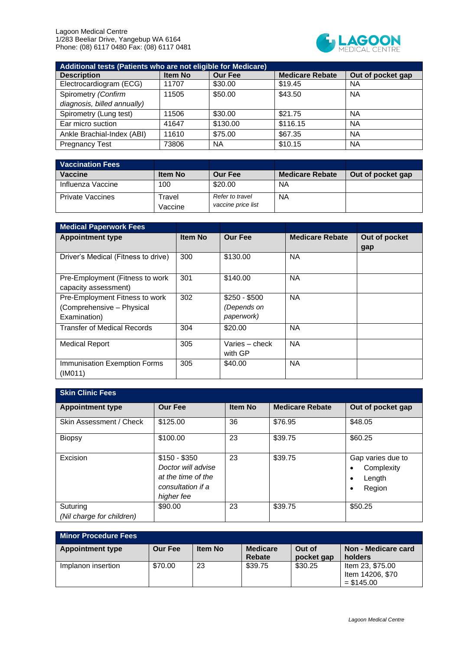

| Additional tests (Patients who are not eligible for Medicare) |         |                |                        |                   |  |  |
|---------------------------------------------------------------|---------|----------------|------------------------|-------------------|--|--|
| <b>Description</b>                                            | Item No | <b>Our Fee</b> | <b>Medicare Rebate</b> | Out of pocket gap |  |  |
| Electrocardiogram (ECG)                                       | 11707   | \$30.00        | \$19.45                | <b>NA</b>         |  |  |
| Spirometry (Confirm                                           | 11505   | \$50.00        | \$43.50                | <b>NA</b>         |  |  |
| diagnosis, billed annually)                                   |         |                |                        |                   |  |  |
| Spirometry (Lung test)                                        | 11506   | \$30.00        | \$21.75                | <b>NA</b>         |  |  |
| Ear micro suction                                             | 41647   | \$130.00       | \$116.15               | <b>NA</b>         |  |  |
| Ankle Brachial-Index (ABI)                                    | 11610   | \$75.00        | \$67.35                | <b>NA</b>         |  |  |
| <b>Pregnancy Test</b>                                         | 73806   | <b>NA</b>      | \$10.15                | <b>NA</b>         |  |  |

| <b>Vaccination Fees</b> |                   |                                       |                        |                   |
|-------------------------|-------------------|---------------------------------------|------------------------|-------------------|
| Vaccine                 | <b>Item No</b>    | <b>Our Fee</b>                        | <b>Medicare Rebate</b> | Out of pocket gap |
| Influenza Vaccine       | 100               | \$20.00                               | NA                     |                   |
| <b>Private Vaccines</b> | Travel<br>Vaccine | Refer to travel<br>vaccine price list | <b>NA</b>              |                   |

| <b>Medical Paperwork Fees</b>                                               |         |                                            |                        |                      |
|-----------------------------------------------------------------------------|---------|--------------------------------------------|------------------------|----------------------|
| <b>Appointment type</b>                                                     | Item No | <b>Our Fee</b>                             | <b>Medicare Rebate</b> | Out of pocket<br>gap |
| Driver's Medical (Fitness to drive)                                         | 300     | \$130.00                                   | <b>NA</b>              |                      |
| Pre-Employment (Fitness to work<br>capacity assessment)                     | 301     | \$140.00                                   | <b>NA</b>              |                      |
| Pre-Employment Fitness to work<br>(Comprehensive - Physical<br>Examination) | 302     | $$250 - $500$<br>(Depends on<br>paperwork) | <b>NA</b>              |                      |
| <b>Transfer of Medical Records</b>                                          | 304     | \$20.00                                    | <b>NA</b>              |                      |
| <b>Medical Report</b>                                                       | 305     | Varies – check<br>with GP                  | <b>NA</b>              |                      |
| Immunisation Exemption Forms<br>(IM011)                                     | 305     | \$40.00                                    | <b>NA</b>              |                      |

| <b>Skin Clinic Fees</b>               |                                                                                              |                |                        |                                                     |  |  |
|---------------------------------------|----------------------------------------------------------------------------------------------|----------------|------------------------|-----------------------------------------------------|--|--|
| <b>Appointment type</b>               | <b>Our Fee</b>                                                                               | <b>Item No</b> | <b>Medicare Rebate</b> | Out of pocket gap                                   |  |  |
| Skin Assessment / Check               | \$125.00                                                                                     | 36             | \$76.95                | \$48.05                                             |  |  |
| <b>Biopsy</b>                         | \$100.00                                                                                     | 23             | \$39.75                | \$60.25                                             |  |  |
| Excision                              | $$150 - $350$<br>Doctor will advise<br>at the time of the<br>consultation if a<br>higher fee | 23             | \$39.75                | Gap varies due to<br>Complexity<br>Length<br>Region |  |  |
| Suturing<br>(Nil charge for children) | \$90.00                                                                                      | 23             | \$39.75                | \$50.25                                             |  |  |

| <b>Minor Procedure Fees</b> |                |                |                                  |                      |                                                      |
|-----------------------------|----------------|----------------|----------------------------------|----------------------|------------------------------------------------------|
| <b>Appointment type</b>     | <b>Our Fee</b> | <b>Item No</b> | <b>Medicare</b><br><b>Rebate</b> | Out of<br>pocket gap | Non - Medicare card<br>holders                       |
| Implanon insertion          | \$70.00        | 23             | \$39.75                          | \$30.25              | Item 23, \$75.00<br>Item 14206, \$70<br>$=$ \$145.00 |